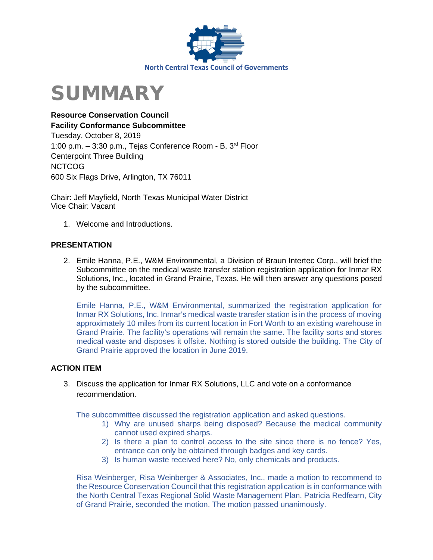

# SUMMARY

**Resource Conservation Council Facility Conformance Subcommittee**  Tuesday, October 8, 2019 1:00 p.m. – 3:30 p.m., Tejas Conference Room - B, 3rd Floor Centerpoint Three Building NCTCOG 600 Six Flags Drive, Arlington, TX 76011

Chair: Jeff Mayfield, North Texas Municipal Water District Vice Chair: Vacant

1. Welcome and Introductions.

#### **PRESENTATION**

2. Emile Hanna, P.E., W&M Environmental, a Division of Braun Intertec Corp., will brief the Subcommittee on the medical waste transfer station registration application for Inmar RX Solutions, Inc., located in Grand Prairie, Texas. He will then answer any questions posed by the subcommittee.

Emile Hanna, P.E., W&M Environmental, summarized the registration application for Inmar RX Solutions, Inc. Inmar's medical waste transfer station is in the process of moving approximately 10 miles from its current location in Fort Worth to an existing warehouse in Grand Prairie. The facility's operations will remain the same. The facility sorts and stores medical waste and disposes it offsite. Nothing is stored outside the building. The City of Grand Prairie approved the location in June 2019.

#### **ACTION ITEM**

3. Discuss the application for Inmar RX Solutions, LLC and vote on a conformance recommendation.

The subcommittee discussed the registration application and asked questions.

- 1) Why are unused sharps being disposed? Because the medical community cannot used expired sharps.
- 2) Is there a plan to control access to the site since there is no fence? Yes, entrance can only be obtained through badges and key cards.
- 3) Is human waste received here? No, only chemicals and products.

Risa Weinberger, Risa Weinberger & Associates, Inc., made a motion to recommend to the Resource Conservation Council that this registration application is in conformance with the North Central Texas Regional Solid Waste Management Plan. Patricia Redfearn, City of Grand Prairie, seconded the motion. The motion passed unanimously.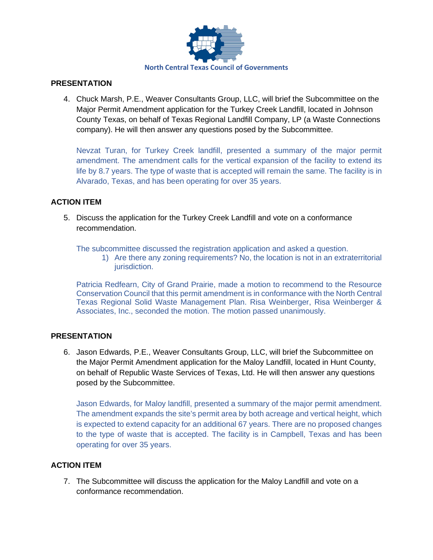

#### **PRESENTATION**

4. Chuck Marsh, P.E., Weaver Consultants Group, LLC, will brief the Subcommittee on the Major Permit Amendment application for the Turkey Creek Landfill, located in Johnson County Texas, on behalf of Texas Regional Landfill Company, LP (a Waste Connections company). He will then answer any questions posed by the Subcommittee.

Nevzat Turan, for Turkey Creek landfill, presented a summary of the major permit amendment. The amendment calls for the vertical expansion of the facility to extend its life by 8.7 years. The type of waste that is accepted will remain the same. The facility is in Alvarado, Texas, and has been operating for over 35 years.

#### **ACTION ITEM**

5. Discuss the application for the Turkey Creek Landfill and vote on a conformance recommendation.

The subcommittee discussed the registration application and asked a question.

1) Are there any zoning requirements? No, the location is not in an extraterritorial jurisdiction.

Patricia Redfearn, City of Grand Prairie, made a motion to recommend to the Resource Conservation Council that this permit amendment is in conformance with the North Central Texas Regional Solid Waste Management Plan. Risa Weinberger, Risa Weinberger & Associates, Inc., seconded the motion. The motion passed unanimously.

#### **PRESENTATION**

6. Jason Edwards, P.E., Weaver Consultants Group, LLC, will brief the Subcommittee on the Major Permit Amendment application for the Maloy Landfill, located in Hunt County, on behalf of Republic Waste Services of Texas, Ltd. He will then answer any questions posed by the Subcommittee.

Jason Edwards, for Maloy landfill, presented a summary of the major permit amendment. The amendment expands the site's permit area by both acreage and vertical height, which is expected to extend capacity for an additional 67 years. There are no proposed changes to the type of waste that is accepted. The facility is in Campbell, Texas and has been operating for over 35 years.

#### **ACTION ITEM**

7. The Subcommittee will discuss the application for the Maloy Landfill and vote on a conformance recommendation.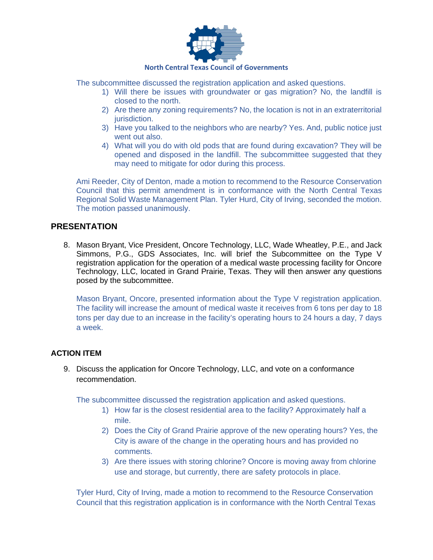

#### **North Central Texas Council of Governments**

The subcommittee discussed the registration application and asked questions.

- 1) Will there be issues with groundwater or gas migration? No, the landfill is closed to the north.
- 2) Are there any zoning requirements? No, the location is not in an extraterritorial jurisdiction.
- 3) Have you talked to the neighbors who are nearby? Yes. And, public notice just went out also.
- 4) What will you do with old pods that are found during excavation? They will be opened and disposed in the landfill. The subcommittee suggested that they may need to mitigate for odor during this process.

Ami Reeder, City of Denton, made a motion to recommend to the Resource Conservation Council that this permit amendment is in conformance with the North Central Texas Regional Solid Waste Management Plan. Tyler Hurd, City of Irving, seconded the motion. The motion passed unanimously.

#### **PRESENTATION**

8. Mason Bryant, Vice President, Oncore Technology, LLC, Wade Wheatley, P.E., and Jack Simmons, P.G., GDS Associates, Inc. will brief the Subcommittee on the Type V registration application for the operation of a medical waste processing facility for Oncore Technology, LLC, located in Grand Prairie, Texas. They will then answer any questions posed by the subcommittee.

Mason Bryant, Oncore, presented information about the Type V registration application. The facility will increase the amount of medical waste it receives from 6 tons per day to 18 tons per day due to an increase in the facility's operating hours to 24 hours a day, 7 days a week.

#### **ACTION ITEM**

9. Discuss the application for Oncore Technology, LLC, and vote on a conformance recommendation.

The subcommittee discussed the registration application and asked questions.

- 1) How far is the closest residential area to the facility? Approximately half a mile.
- 2) Does the City of Grand Prairie approve of the new operating hours? Yes, the City is aware of the change in the operating hours and has provided no comments.
- 3) Are there issues with storing chlorine? Oncore is moving away from chlorine use and storage, but currently, there are safety protocols in place.

Tyler Hurd, City of Irving, made a motion to recommend to the Resource Conservation Council that this registration application is in conformance with the North Central Texas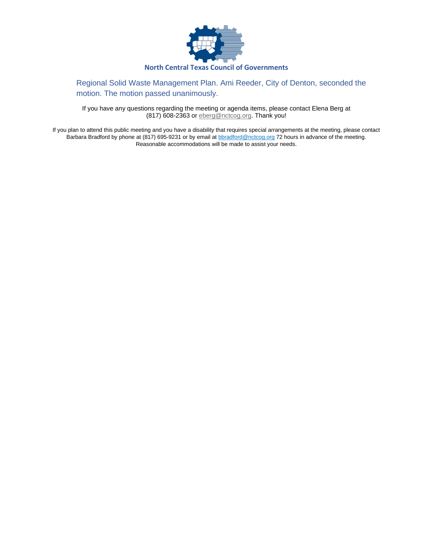

#### Regional Solid Waste Management Plan. Ami Reeder, City of Denton, seconded the motion. The motion passed unanimously.

If you have any questions regarding the meeting or agenda items, please contact Elena Berg at (817) 608-2363 or **eberg@nctcog.org**. Thank you!

If you plan to attend this public meeting and you have a disability that requires special arrangements at the meeting, please contact Barbara Bradford by phone at (817) 695-9231 or by email at [bbradford@nctcog.org](mailto:bbradford@nctcog.org) 72 hours in advance of the meeting. Reasonable accommodations will be made to assist your needs.